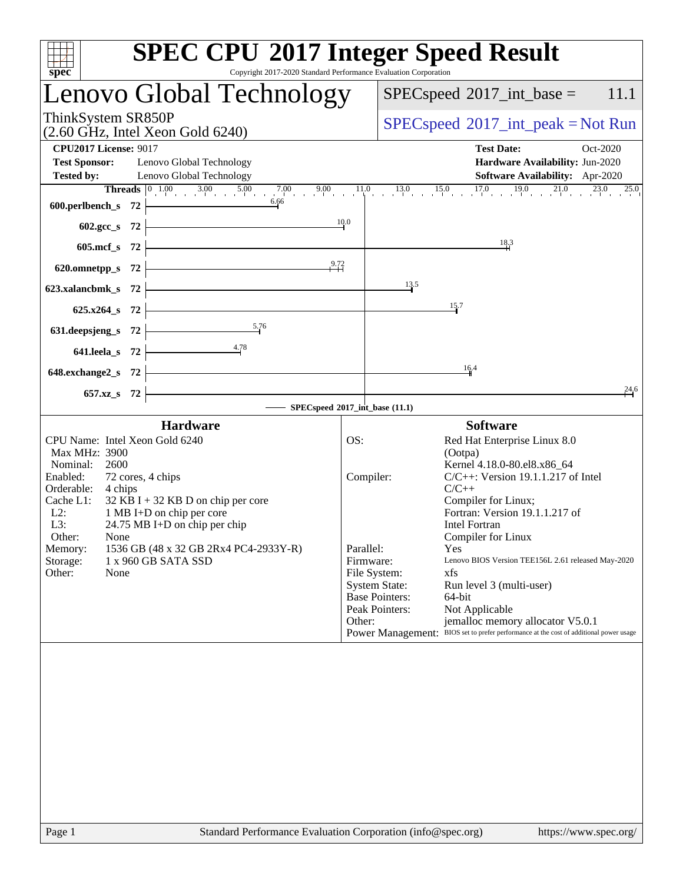| <b>SPEC CPU®2017 Integer Speed Result</b><br>Copyright 2017-2020 Standard Performance Evaluation Corporation<br>spec <sup>®</sup>                                                                                                                                                                                                                                                                       |                                                                                                                                         |                                                                                                                                                                                                                                                                                                                                                                                                                                                                                                                          |
|---------------------------------------------------------------------------------------------------------------------------------------------------------------------------------------------------------------------------------------------------------------------------------------------------------------------------------------------------------------------------------------------------------|-----------------------------------------------------------------------------------------------------------------------------------------|--------------------------------------------------------------------------------------------------------------------------------------------------------------------------------------------------------------------------------------------------------------------------------------------------------------------------------------------------------------------------------------------------------------------------------------------------------------------------------------------------------------------------|
| Lenovo Global Technology                                                                                                                                                                                                                                                                                                                                                                                |                                                                                                                                         | $SPEC speed^{\circ}2017\_int\_base =$<br>11.1                                                                                                                                                                                                                                                                                                                                                                                                                                                                            |
| ThinkSystem SR850P<br>$(2.60 \text{ GHz}, \text{Intel Xeon Gold } 6240)$                                                                                                                                                                                                                                                                                                                                |                                                                                                                                         | $SPEC speed^{\circ}2017\_int\_peak = Not Run$                                                                                                                                                                                                                                                                                                                                                                                                                                                                            |
| <b>CPU2017 License: 9017</b><br><b>Test Sponsor:</b><br>Lenovo Global Technology<br><b>Tested by:</b><br>Lenovo Global Technology                                                                                                                                                                                                                                                                       |                                                                                                                                         | <b>Test Date:</b><br>Oct-2020<br>Hardware Availability: Jun-2020<br><b>Software Availability:</b> Apr-2020<br><b>Threads</b> $\begin{bmatrix} 0 & 1.00 & 3.00 & 5.00 & 7.00 & 9.00 & 11.0 & 13.0 & 15.0 & 17.0 & 19.0 & 21.0 & 23.0 & 25.0 \ 6.6 & 6.6 & 1 & 1 & 1 & 1 & 1 & 1 \end{bmatrix}$                                                                                                                                                                                                                            |
| $600. perlbench_s$ 72 $\longleftarrow$<br>602.gcc_s 72 $\frac{10}{10}$                                                                                                                                                                                                                                                                                                                                  |                                                                                                                                         |                                                                                                                                                                                                                                                                                                                                                                                                                                                                                                                          |
| $605 \text{.mcf}\, \text{s}$ 72                                                                                                                                                                                                                                                                                                                                                                         |                                                                                                                                         | 18.3                                                                                                                                                                                                                                                                                                                                                                                                                                                                                                                     |
| 620.omnetpp_s 72 $\overline{) \qquad \qquad}$ 9.72                                                                                                                                                                                                                                                                                                                                                      |                                                                                                                                         |                                                                                                                                                                                                                                                                                                                                                                                                                                                                                                                          |
| 623.xalancbmk_s $72$ $\overline{\phantom{a}}$<br>$625.x264_s$ 72                                                                                                                                                                                                                                                                                                                                        |                                                                                                                                         | 13.5<br>15.7                                                                                                                                                                                                                                                                                                                                                                                                                                                                                                             |
| 631. deepsjeng_s 72 $\frac{5.76}{ }$                                                                                                                                                                                                                                                                                                                                                                    |                                                                                                                                         |                                                                                                                                                                                                                                                                                                                                                                                                                                                                                                                          |
| 641.leela_s 72 $\frac{4.78}{ }$<br>$648$ .exchange2_s 72                                                                                                                                                                                                                                                                                                                                                |                                                                                                                                         | 16.4                                                                                                                                                                                                                                                                                                                                                                                                                                                                                                                     |
| $657.xz$ $72$                                                                                                                                                                                                                                                                                                                                                                                           |                                                                                                                                         | 24.6                                                                                                                                                                                                                                                                                                                                                                                                                                                                                                                     |
| SPECspeed®2017_int_base (11.1)                                                                                                                                                                                                                                                                                                                                                                          |                                                                                                                                         |                                                                                                                                                                                                                                                                                                                                                                                                                                                                                                                          |
| <b>Hardware</b><br>CPU Name: Intel Xeon Gold 6240<br>Max MHz: 3900<br>Nominal: 2600<br>Enabled:<br>72 cores, 4 chips<br>Orderable: 4 chips<br>Cache L1: $32$ KB I + 32 KB D on chip per core<br>L2: 1 MB I+D on chip per core<br>L3:<br>$24.75 \text{ MB I+D}$ on chip per chip<br>Other: None<br>1536 GB (48 x 32 GB 2Rx4 PC4-2933Y-R)<br>Memory:<br>1 x 960 GB SATA SSD<br>Storage:<br>Other:<br>None | OS:<br>Compiler:<br>Parallel:<br>Firmware:<br>File System:<br><b>System State:</b><br><b>Base Pointers:</b><br>Peak Pointers:<br>Other: | <b>Software</b><br>Red Hat Enterprise Linux 8.0<br>(Ootpa)<br>Kernel 4.18.0-80.el8.x86_64<br>$C/C++$ : Version 19.1.1.217 of Intel<br>$C/C++$<br>Compiler for Linux;<br>Fortran: Version 19.1.1.217 of<br><b>Intel Fortran</b><br>Compiler for Linux<br>Yes<br>Lenovo BIOS Version TEE156L 2.61 released May-2020<br>xfs<br>Run level 3 (multi-user)<br>64-bit<br>Not Applicable<br>jemalloc memory allocator V5.0.1<br>BIOS set to prefer performance at the cost of additional power usage<br><b>Power Management:</b> |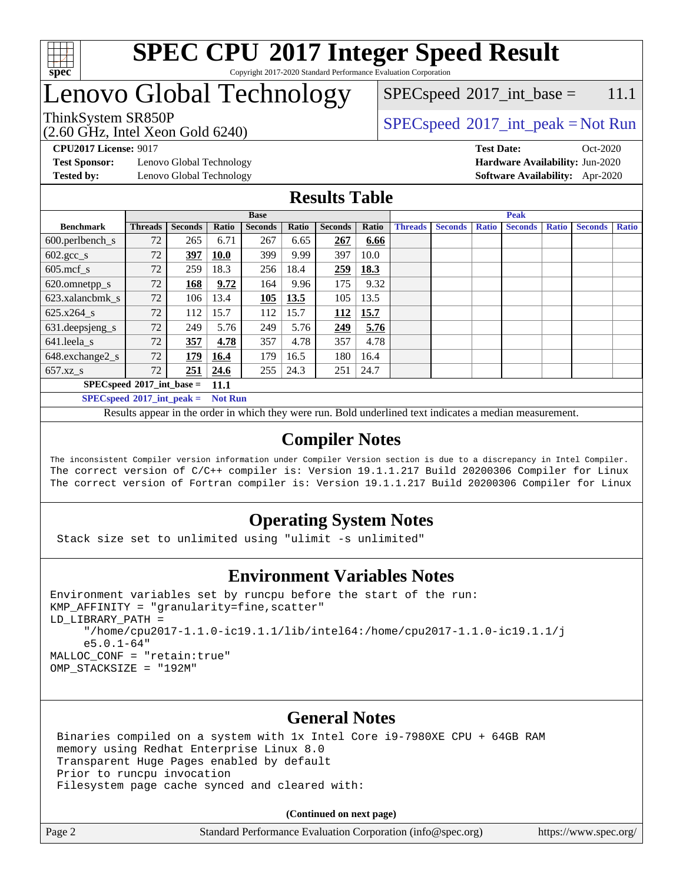

### **[SPEC CPU](http://www.spec.org/auto/cpu2017/Docs/result-fields.html#SPECCPU2017IntegerSpeedResult)[2017 Integer Speed Result](http://www.spec.org/auto/cpu2017/Docs/result-fields.html#SPECCPU2017IntegerSpeedResult)** Copyright 2017-2020 Standard Performance Evaluation Corporation

# Lenovo Global Technology

(2.60 GHz, Intel Xeon Gold 6240)

ThinkSystem SR850P<br>  $\begin{array}{c}\n\text{SPEC speed} \text{°2017\_int\_peak} = \text{Not Run} \\
\text{SPEC speed} \text{°2017\_int\_peak} = \text{Not Run} \\
\end{array}$  $SPEC speed^{\circ}2017\_int\_base = 11.1$ 

**[Test Sponsor:](http://www.spec.org/auto/cpu2017/Docs/result-fields.html#TestSponsor)** Lenovo Global Technology **[Hardware Availability:](http://www.spec.org/auto/cpu2017/Docs/result-fields.html#HardwareAvailability)** Jun-2020 **[Tested by:](http://www.spec.org/auto/cpu2017/Docs/result-fields.html#Testedby)** Lenovo Global Technology **[Software Availability:](http://www.spec.org/auto/cpu2017/Docs/result-fields.html#SoftwareAvailability)** Apr-2020

**[CPU2017 License:](http://www.spec.org/auto/cpu2017/Docs/result-fields.html#CPU2017License)** 9017 **[Test Date:](http://www.spec.org/auto/cpu2017/Docs/result-fields.html#TestDate)** Oct-2020

### **[Results Table](http://www.spec.org/auto/cpu2017/Docs/result-fields.html#ResultsTable)**

|                                                   | <b>Base</b>    |                |             |                |       |                | <b>Peak</b> |                |                |              |                |              |                |              |
|---------------------------------------------------|----------------|----------------|-------------|----------------|-------|----------------|-------------|----------------|----------------|--------------|----------------|--------------|----------------|--------------|
| <b>Benchmark</b>                                  | <b>Threads</b> | <b>Seconds</b> | Ratio       | <b>Seconds</b> | Ratio | <b>Seconds</b> | Ratio       | <b>Threads</b> | <b>Seconds</b> | <b>Ratio</b> | <b>Seconds</b> | <b>Ratio</b> | <b>Seconds</b> | <b>Ratio</b> |
| $600.$ perlbench $\mathsf{S}$                     | 72             | 265            | 6.71        | 267            | 6.65  | 267            | 6.66        |                |                |              |                |              |                |              |
| $602.\text{gcc}\_\text{s}$                        | 72             | 397            | <b>10.0</b> | 399            | 9.99  | 397            | 10.0        |                |                |              |                |              |                |              |
| $605$ .mcf s                                      | 72             | 259            | 18.3        | 256            | 18.4  | 259            | 18.3        |                |                |              |                |              |                |              |
| 620.omnetpp_s                                     | 72             | 168            | 9.72        | 164            | 9.96  | 175            | 9.32        |                |                |              |                |              |                |              |
| 623.xalancbmk s                                   | 72             | 106            | 13.4        | 105            | 13.5  | 105            | 13.5        |                |                |              |                |              |                |              |
| 625.x264 s                                        | 72             | 112            | 15.7        | 112            | 15.7  | 112            | 15.7        |                |                |              |                |              |                |              |
| 631.deepsjeng_s                                   | 72             | 249            | 5.76        | 249            | 5.76  | 249            | 5.76        |                |                |              |                |              |                |              |
| 641.leela s                                       | 72             | 357            | 4.78        | 357            | 4.78  | 357            | 4.78        |                |                |              |                |              |                |              |
| 648.exchange2_s                                   | 72             | 179            | 16.4        | 179            | 16.5  | 180            | 16.4        |                |                |              |                |              |                |              |
| $657.xz$ s                                        | 72             | 251            | 24.6        | 255            | 24.3  | 251            | 24.7        |                |                |              |                |              |                |              |
| $SPECspeed^{\circ}2017$ int base =<br><b>11.1</b> |                |                |             |                |       |                |             |                |                |              |                |              |                |              |

**[SPECspeed](http://www.spec.org/auto/cpu2017/Docs/result-fields.html#SPECspeed2017intpeak)[2017\\_int\\_peak =](http://www.spec.org/auto/cpu2017/Docs/result-fields.html#SPECspeed2017intpeak) Not Run**

Results appear in the [order in which they were run.](http://www.spec.org/auto/cpu2017/Docs/result-fields.html#RunOrder) Bold underlined text [indicates a median measurement.](http://www.spec.org/auto/cpu2017/Docs/result-fields.html#Median)

### **[Compiler Notes](http://www.spec.org/auto/cpu2017/Docs/result-fields.html#CompilerNotes)**

The inconsistent Compiler version information under Compiler Version section is due to a discrepancy in Intel Compiler. The correct version of C/C++ compiler is: Version 19.1.1.217 Build 20200306 Compiler for Linux The correct version of Fortran compiler is: Version 19.1.1.217 Build 20200306 Compiler for Linux

### **[Operating System Notes](http://www.spec.org/auto/cpu2017/Docs/result-fields.html#OperatingSystemNotes)**

Stack size set to unlimited using "ulimit -s unlimited"

### **[Environment Variables Notes](http://www.spec.org/auto/cpu2017/Docs/result-fields.html#EnvironmentVariablesNotes)**

```
Environment variables set by runcpu before the start of the run:
KMP_AFFINITY = "granularity=fine,scatter"
LD_LIBRARY_PATH =
      "/home/cpu2017-1.1.0-ic19.1.1/lib/intel64:/home/cpu2017-1.1.0-ic19.1.1/j
      e5.0.1-64"
MALLOC_CONF = "retain:true"
OMP_STACKSIZE = "192M"
```
### **[General Notes](http://www.spec.org/auto/cpu2017/Docs/result-fields.html#GeneralNotes)**

 Binaries compiled on a system with 1x Intel Core i9-7980XE CPU + 64GB RAM memory using Redhat Enterprise Linux 8.0 Transparent Huge Pages enabled by default Prior to runcpu invocation Filesystem page cache synced and cleared with:

**(Continued on next page)**

Page 2 Standard Performance Evaluation Corporation [\(info@spec.org\)](mailto:info@spec.org) <https://www.spec.org/>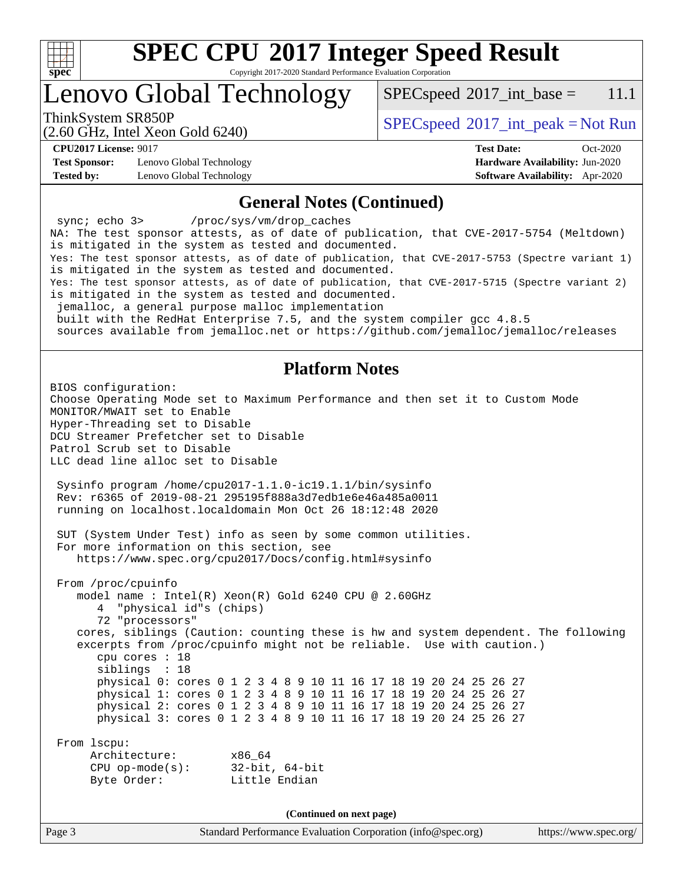

Copyright 2017-2020 Standard Performance Evaluation Corporation

### Lenovo Global Technology

 $SPECspeed^{\circ}2017\_int\_base = 11.1$  $SPECspeed^{\circ}2017\_int\_base = 11.1$ 

(2.60 GHz, Intel Xeon Gold 6240)

ThinkSystem SR850P<br>  $SPEC speed^{\circ}2017\_int\_peak = Not Run$ 

**[Test Sponsor:](http://www.spec.org/auto/cpu2017/Docs/result-fields.html#TestSponsor)** Lenovo Global Technology **[Hardware Availability:](http://www.spec.org/auto/cpu2017/Docs/result-fields.html#HardwareAvailability)** Jun-2020 **[Tested by:](http://www.spec.org/auto/cpu2017/Docs/result-fields.html#Testedby)** Lenovo Global Technology **[Software Availability:](http://www.spec.org/auto/cpu2017/Docs/result-fields.html#SoftwareAvailability)** Apr-2020

**[CPU2017 License:](http://www.spec.org/auto/cpu2017/Docs/result-fields.html#CPU2017License)** 9017 **[Test Date:](http://www.spec.org/auto/cpu2017/Docs/result-fields.html#TestDate)** Oct-2020

#### **[General Notes \(Continued\)](http://www.spec.org/auto/cpu2017/Docs/result-fields.html#GeneralNotes)**

Page 3 Standard Performance Evaluation Corporation [\(info@spec.org\)](mailto:info@spec.org) <https://www.spec.org/> sync; echo 3> /proc/sys/vm/drop\_caches NA: The test sponsor attests, as of date of publication, that CVE-2017-5754 (Meltdown) is mitigated in the system as tested and documented. Yes: The test sponsor attests, as of date of publication, that CVE-2017-5753 (Spectre variant 1) is mitigated in the system as tested and documented. Yes: The test sponsor attests, as of date of publication, that CVE-2017-5715 (Spectre variant 2) is mitigated in the system as tested and documented. jemalloc, a general purpose malloc implementation built with the RedHat Enterprise 7.5, and the system compiler gcc 4.8.5 sources available from jemalloc.net or<https://github.com/jemalloc/jemalloc/releases> **[Platform Notes](http://www.spec.org/auto/cpu2017/Docs/result-fields.html#PlatformNotes)** BIOS configuration: Choose Operating Mode set to Maximum Performance and then set it to Custom Mode MONITOR/MWAIT set to Enable Hyper-Threading set to Disable DCU Streamer Prefetcher set to Disable Patrol Scrub set to Disable LLC dead line alloc set to Disable Sysinfo program /home/cpu2017-1.1.0-ic19.1.1/bin/sysinfo Rev: r6365 of 2019-08-21 295195f888a3d7edb1e6e46a485a0011 running on localhost.localdomain Mon Oct 26 18:12:48 2020 SUT (System Under Test) info as seen by some common utilities. For more information on this section, see <https://www.spec.org/cpu2017/Docs/config.html#sysinfo> From /proc/cpuinfo model name : Intel(R) Xeon(R) Gold 6240 CPU @ 2.60GHz 4 "physical id"s (chips) 72 "processors" cores, siblings (Caution: counting these is hw and system dependent. The following excerpts from /proc/cpuinfo might not be reliable. Use with caution.) cpu cores : 18 siblings : 18 physical 0: cores 0 1 2 3 4 8 9 10 11 16 17 18 19 20 24 25 26 27 physical 1: cores 0 1 2 3 4 8 9 10 11 16 17 18 19 20 24 25 26 27 physical 2: cores 0 1 2 3 4 8 9 10 11 16 17 18 19 20 24 25 26 27 physical 3: cores 0 1 2 3 4 8 9 10 11 16 17 18 19 20 24 25 26 27 From lscpu: Architecture: x86\_64 CPU op-mode(s): 32-bit, 64-bit Byte Order: Little Endian **(Continued on next page)**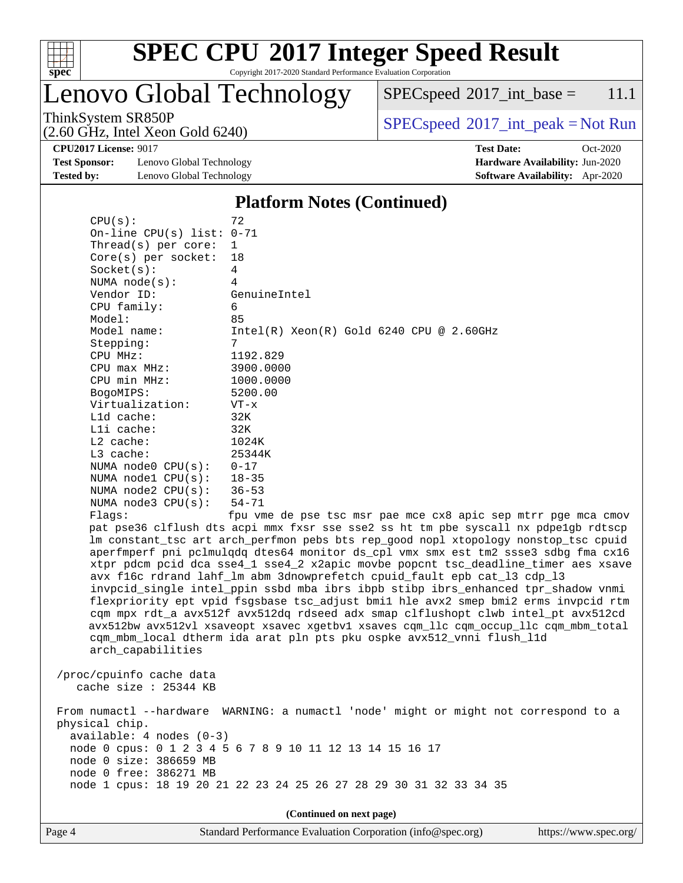

### **[SPEC CPU](http://www.spec.org/auto/cpu2017/Docs/result-fields.html#SPECCPU2017IntegerSpeedResult)[2017 Integer Speed Result](http://www.spec.org/auto/cpu2017/Docs/result-fields.html#SPECCPU2017IntegerSpeedResult)** Copyright 2017-2020 Standard Performance Evaluation Corporation

Lenovo Global Technology

(2.60 GHz, Intel Xeon Gold 6240)

 $SPECspeed^{\circ}2017\_int\_base = 11.1$  $SPECspeed^{\circ}2017\_int\_base = 11.1$ 

 $SPEC speed^{\circ}2017\_int\_peak = Not Run$ 

**[Test Sponsor:](http://www.spec.org/auto/cpu2017/Docs/result-fields.html#TestSponsor)** Lenovo Global Technology **[Hardware Availability:](http://www.spec.org/auto/cpu2017/Docs/result-fields.html#HardwareAvailability)** Jun-2020 **[Tested by:](http://www.spec.org/auto/cpu2017/Docs/result-fields.html#Testedby)** Lenovo Global Technology **[Software Availability:](http://www.spec.org/auto/cpu2017/Docs/result-fields.html#SoftwareAvailability)** Apr-2020

**[CPU2017 License:](http://www.spec.org/auto/cpu2017/Docs/result-fields.html#CPU2017License)** 9017 **[Test Date:](http://www.spec.org/auto/cpu2017/Docs/result-fields.html#TestDate)** Oct-2020

### **[Platform Notes \(Continued\)](http://www.spec.org/auto/cpu2017/Docs/result-fields.html#PlatformNotes)**

| CPU(s):                                                                                          | 72                                                                                                                                                                                                                                                                                                                                                                                                                                                                                                                                                                                                                                                                                                                                                                                                                                                                                                                               |
|--------------------------------------------------------------------------------------------------|----------------------------------------------------------------------------------------------------------------------------------------------------------------------------------------------------------------------------------------------------------------------------------------------------------------------------------------------------------------------------------------------------------------------------------------------------------------------------------------------------------------------------------------------------------------------------------------------------------------------------------------------------------------------------------------------------------------------------------------------------------------------------------------------------------------------------------------------------------------------------------------------------------------------------------|
| On-line CPU(s) list: 0-71                                                                        |                                                                                                                                                                                                                                                                                                                                                                                                                                                                                                                                                                                                                                                                                                                                                                                                                                                                                                                                  |
| Thread(s) per core:                                                                              | $\mathbf{1}$                                                                                                                                                                                                                                                                                                                                                                                                                                                                                                                                                                                                                                                                                                                                                                                                                                                                                                                     |
| $Core(s)$ per socket:                                                                            | 18                                                                                                                                                                                                                                                                                                                                                                                                                                                                                                                                                                                                                                                                                                                                                                                                                                                                                                                               |
| Socket(s):                                                                                       | 4                                                                                                                                                                                                                                                                                                                                                                                                                                                                                                                                                                                                                                                                                                                                                                                                                                                                                                                                |
| NUMA $node(s)$ :                                                                                 | 4                                                                                                                                                                                                                                                                                                                                                                                                                                                                                                                                                                                                                                                                                                                                                                                                                                                                                                                                |
| Vendor ID:                                                                                       | GenuineIntel                                                                                                                                                                                                                                                                                                                                                                                                                                                                                                                                                                                                                                                                                                                                                                                                                                                                                                                     |
| CPU family:                                                                                      | 6                                                                                                                                                                                                                                                                                                                                                                                                                                                                                                                                                                                                                                                                                                                                                                                                                                                                                                                                |
| Model:                                                                                           | 85                                                                                                                                                                                                                                                                                                                                                                                                                                                                                                                                                                                                                                                                                                                                                                                                                                                                                                                               |
| Model name:                                                                                      | $Intel(R)$ Xeon $(R)$ Gold 6240 CPU @ 2.60GHz                                                                                                                                                                                                                                                                                                                                                                                                                                                                                                                                                                                                                                                                                                                                                                                                                                                                                    |
| Stepping:                                                                                        | 7                                                                                                                                                                                                                                                                                                                                                                                                                                                                                                                                                                                                                                                                                                                                                                                                                                                                                                                                |
| CPU MHz:                                                                                         | 1192.829                                                                                                                                                                                                                                                                                                                                                                                                                                                                                                                                                                                                                                                                                                                                                                                                                                                                                                                         |
| CPU max MHz:                                                                                     | 3900.0000                                                                                                                                                                                                                                                                                                                                                                                                                                                                                                                                                                                                                                                                                                                                                                                                                                                                                                                        |
| CPU min MHz:                                                                                     | 1000.0000                                                                                                                                                                                                                                                                                                                                                                                                                                                                                                                                                                                                                                                                                                                                                                                                                                                                                                                        |
| BogoMIPS:                                                                                        | 5200.00                                                                                                                                                                                                                                                                                                                                                                                                                                                                                                                                                                                                                                                                                                                                                                                                                                                                                                                          |
| Virtualization:                                                                                  | $VT - x$                                                                                                                                                                                                                                                                                                                                                                                                                                                                                                                                                                                                                                                                                                                                                                                                                                                                                                                         |
| L1d cache:                                                                                       | 32K                                                                                                                                                                                                                                                                                                                                                                                                                                                                                                                                                                                                                                                                                                                                                                                                                                                                                                                              |
| Lli cache:                                                                                       | 32K                                                                                                                                                                                                                                                                                                                                                                                                                                                                                                                                                                                                                                                                                                                                                                                                                                                                                                                              |
| L2 cache:                                                                                        | 1024K                                                                                                                                                                                                                                                                                                                                                                                                                                                                                                                                                                                                                                                                                                                                                                                                                                                                                                                            |
| L3 cache:                                                                                        | 25344K                                                                                                                                                                                                                                                                                                                                                                                                                                                                                                                                                                                                                                                                                                                                                                                                                                                                                                                           |
| NUMA $node0$ $CPU(s):$                                                                           | $0 - 17$                                                                                                                                                                                                                                                                                                                                                                                                                                                                                                                                                                                                                                                                                                                                                                                                                                                                                                                         |
| NUMA $node1$ $CPU(s):$                                                                           | $18 - 35$                                                                                                                                                                                                                                                                                                                                                                                                                                                                                                                                                                                                                                                                                                                                                                                                                                                                                                                        |
| NUMA $node2$ $CPU(s):$                                                                           | $36 - 53$                                                                                                                                                                                                                                                                                                                                                                                                                                                                                                                                                                                                                                                                                                                                                                                                                                                                                                                        |
| NUMA $node3$ $CPU(s)$ :                                                                          | $54 - 71$                                                                                                                                                                                                                                                                                                                                                                                                                                                                                                                                                                                                                                                                                                                                                                                                                                                                                                                        |
|                                                                                                  |                                                                                                                                                                                                                                                                                                                                                                                                                                                                                                                                                                                                                                                                                                                                                                                                                                                                                                                                  |
| Flagg:<br>arch_capabilities                                                                      | fpu vme de pse tsc msr pae mce cx8 apic sep mtrr pge mca cmov<br>pat pse36 clflush dts acpi mmx fxsr sse sse2 ss ht tm pbe syscall nx pdpelgb rdtscp<br>lm constant_tsc art arch_perfmon pebs bts rep_good nopl xtopology nonstop_tsc cpuid<br>aperfmperf pni pclmulqdq dtes64 monitor ds_cpl vmx smx est tm2 ssse3 sdbg fma cx16<br>xtpr pdcm pcid dca sse4_1 sse4_2 x2apic movbe popcnt tsc_deadline_timer aes xsave<br>avx f16c rdrand lahf_lm abm 3dnowprefetch cpuid_fault epb cat_13 cdp_13<br>invpcid_single intel_ppin ssbd mba ibrs ibpb stibp ibrs_enhanced tpr_shadow vnmi<br>flexpriority ept vpid fsgsbase tsc_adjust bmil hle avx2 smep bmi2 erms invpcid rtm<br>cqm mpx rdt_a avx512f avx512dq rdseed adx smap clflushopt clwb intel_pt avx512cd<br>avx512bw avx512vl xsaveopt xsavec xgetbvl xsaves cqm_llc cqm_occup_llc cqm_mbm_total<br>cqm_mbm_local dtherm ida arat pln pts pku ospke avx512_vnni flush_l1d |
| /proc/cpuinfo cache data<br>cache size : 25344 KB                                                |                                                                                                                                                                                                                                                                                                                                                                                                                                                                                                                                                                                                                                                                                                                                                                                                                                                                                                                                  |
| physical chip.<br>$available: 4 nodes (0-3)$<br>node 0 size: 386659 MB<br>node 0 free: 386271 MB | From numactl --hardware WARNING: a numactl 'node' might or might not correspond to a<br>node 0 cpus: 0 1 2 3 4 5 6 7 8 9 10 11 12 13 14 15 16 17<br>node 1 cpus: 18 19 20 21 22 23 24 25 26 27 28 29 30 31 32 33 34 35                                                                                                                                                                                                                                                                                                                                                                                                                                                                                                                                                                                                                                                                                                           |
|                                                                                                  |                                                                                                                                                                                                                                                                                                                                                                                                                                                                                                                                                                                                                                                                                                                                                                                                                                                                                                                                  |

**(Continued on next page)**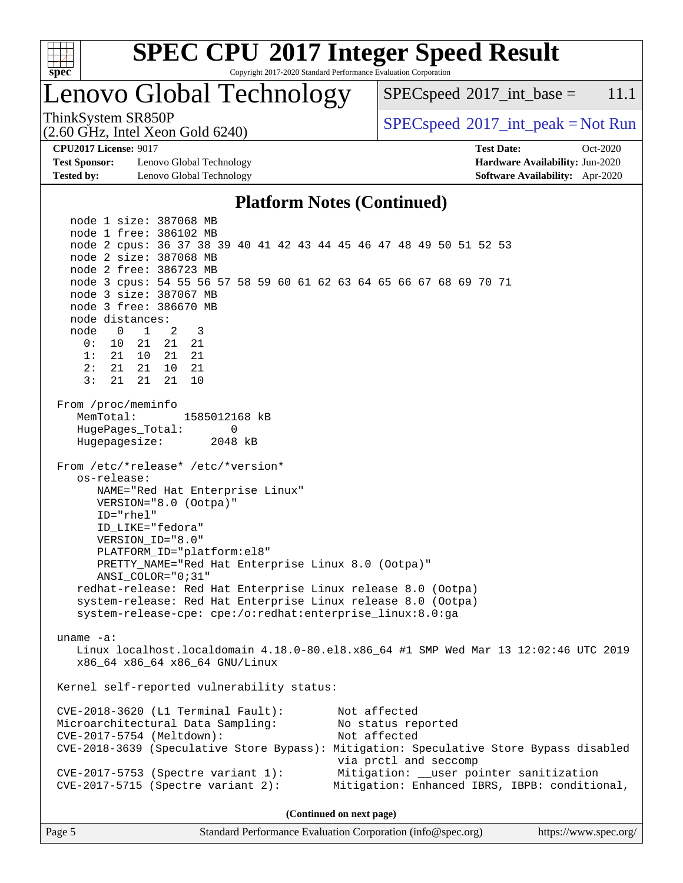

Copyright 2017-2020 Standard Performance Evaluation Corporation

# Lenovo Global Technology

 $SPECspeed^{\circ}2017\_int\_base = 11.1$  $SPECspeed^{\circ}2017\_int\_base = 11.1$ 

(2.60 GHz, Intel Xeon Gold 6240)

ThinkSystem SR850P<br>  $SPEC speed^{\circ}2017\_int\_peak = Not Run$ 

**[Test Sponsor:](http://www.spec.org/auto/cpu2017/Docs/result-fields.html#TestSponsor)** Lenovo Global Technology **[Hardware Availability:](http://www.spec.org/auto/cpu2017/Docs/result-fields.html#HardwareAvailability)** Jun-2020 **[Tested by:](http://www.spec.org/auto/cpu2017/Docs/result-fields.html#Testedby)** Lenovo Global Technology **[Software Availability:](http://www.spec.org/auto/cpu2017/Docs/result-fields.html#SoftwareAvailability)** Apr-2020

**[CPU2017 License:](http://www.spec.org/auto/cpu2017/Docs/result-fields.html#CPU2017License)** 9017 **[Test Date:](http://www.spec.org/auto/cpu2017/Docs/result-fields.html#TestDate)** Oct-2020

### **[Platform Notes \(Continued\)](http://www.spec.org/auto/cpu2017/Docs/result-fields.html#PlatformNotes)**

 node 1 size: 387068 MB node 1 free: 386102 MB node 2 cpus: 36 37 38 39 40 41 42 43 44 45 46 47 48 49 50 51 52 53 node 2 size: 387068 MB node 2 free: 386723 MB node 3 cpus: 54 55 56 57 58 59 60 61 62 63 64 65 66 67 68 69 70 71 node 3 size: 387067 MB node 3 free: 386670 MB node distances: node 0 1 2 3 0: 10 21 21 21 1: 21 10 21 21 2: 21 21 10 21 3: 21 21 21 10 From /proc/meminfo MemTotal: 1585012168 kB HugePages\_Total: 0 Hugepagesize: 2048 kB From /etc/\*release\* /etc/\*version\* os-release: NAME="Red Hat Enterprise Linux" VERSION="8.0 (Ootpa)" ID="rhel" ID\_LIKE="fedora" VERSION\_ID="8.0" PLATFORM\_ID="platform:el8" PRETTY\_NAME="Red Hat Enterprise Linux 8.0 (Ootpa)" ANSI\_COLOR="0;31" redhat-release: Red Hat Enterprise Linux release 8.0 (Ootpa) system-release: Red Hat Enterprise Linux release 8.0 (Ootpa) system-release-cpe: cpe:/o:redhat:enterprise\_linux:8.0:ga uname -a: Linux localhost.localdomain 4.18.0-80.el8.x86\_64 #1 SMP Wed Mar 13 12:02:46 UTC 2019 x86\_64 x86\_64 x86\_64 GNU/Linux Kernel self-reported vulnerability status: CVE-2018-3620 (L1 Terminal Fault): Not affected Microarchitectural Data Sampling: No status reported CVE-2017-5754 (Meltdown): Not affected CVE-2018-3639 (Speculative Store Bypass): Mitigation: Speculative Store Bypass disabled via prctl and seccomp CVE-2017-5753 (Spectre variant 1): Mitigation: \_\_user pointer sanitization CVE-2017-5715 (Spectre variant 2): Mitigation: Enhanced IBRS, IBPB: conditional,

**(Continued on next page)**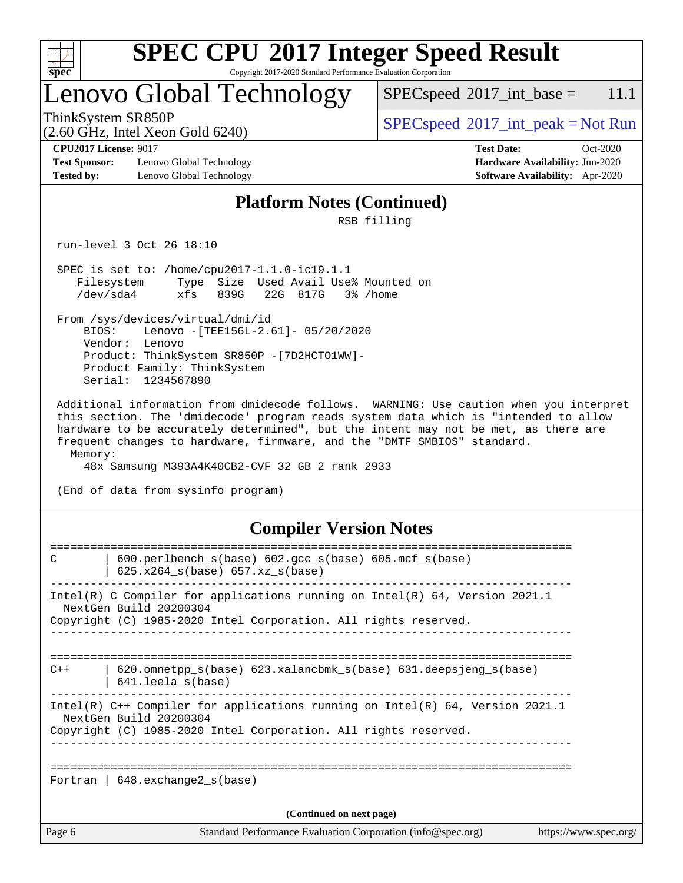

Copyright 2017-2020 Standard Performance Evaluation Corporation

# Lenovo Global Technology

 $SPECspeed^{\circ}2017\_int\_base = 11.1$  $SPECspeed^{\circ}2017\_int\_base = 11.1$ 

(2.60 GHz, Intel Xeon Gold 6240)

ThinkSystem SR850P<br>  $SPECspeed^{\circ}2017\_int\_peak = Not Run$  $SPECspeed^{\circ}2017\_int\_peak = Not Run$ 

**[Test Sponsor:](http://www.spec.org/auto/cpu2017/Docs/result-fields.html#TestSponsor)** Lenovo Global Technology **[Hardware Availability:](http://www.spec.org/auto/cpu2017/Docs/result-fields.html#HardwareAvailability)** Jun-2020 **[Tested by:](http://www.spec.org/auto/cpu2017/Docs/result-fields.html#Testedby)** Lenovo Global Technology **[Software Availability:](http://www.spec.org/auto/cpu2017/Docs/result-fields.html#SoftwareAvailability)** Apr-2020

**[CPU2017 License:](http://www.spec.org/auto/cpu2017/Docs/result-fields.html#CPU2017License)** 9017 **[Test Date:](http://www.spec.org/auto/cpu2017/Docs/result-fields.html#TestDate)** Oct-2020

### **[Platform Notes \(Continued\)](http://www.spec.org/auto/cpu2017/Docs/result-fields.html#PlatformNotes)**

RSB filling

run-level 3 Oct 26 18:10

 SPEC is set to: /home/cpu2017-1.1.0-ic19.1.1 Filesystem Type Size Used Avail Use% Mounted on /dev/sda4 xfs 839G 22G 817G 3% /home

 From /sys/devices/virtual/dmi/id BIOS: Lenovo -[TEE156L-2.61]- 05/20/2020 Vendor: Lenovo Product: ThinkSystem SR850P -[7D2HCTO1WW]- Product Family: ThinkSystem Serial: 1234567890

 Additional information from dmidecode follows. WARNING: Use caution when you interpret this section. The 'dmidecode' program reads system data which is "intended to allow hardware to be accurately determined", but the intent may not be met, as there are frequent changes to hardware, firmware, and the "DMTF SMBIOS" standard. Memory:

48x Samsung M393A4K40CB2-CVF 32 GB 2 rank 2933

(End of data from sysinfo program)

### **[Compiler Version Notes](http://www.spec.org/auto/cpu2017/Docs/result-fields.html#CompilerVersionNotes)**

| $600.$ perlbench $s(base)$ $602.$ qcc $s(base)$ $605.$ mcf $s(base)$<br>C<br>$625.x264_s(base) 657.xz_s(base)$<br>Intel(R) C Compiler for applications running on $Intel(R)$ 64, Version 2021.1<br>NextGen Build 20200304<br>Copyright (C) 1985-2020 Intel Corporation. All rights reserved.<br>$620$ .omnetpp $s(base)$ 623.xalancbmk $s(base)$ 631.deepsjeng $s(base)$<br>$C++$<br>641.leela s(base)<br>Intel(R) $C++$ Compiler for applications running on Intel(R) 64, Version 2021.1<br>NextGen Build 20200304<br>Copyright (C) 1985-2020 Intel Corporation. All rights reserved.<br>Fortran   648.exchange2_s(base)<br>(Continued on next page) | Page 6 | Standard Performance Evaluation Corporation (info@spec.org) | https://www.spec.org/ |
|-------------------------------------------------------------------------------------------------------------------------------------------------------------------------------------------------------------------------------------------------------------------------------------------------------------------------------------------------------------------------------------------------------------------------------------------------------------------------------------------------------------------------------------------------------------------------------------------------------------------------------------------------------|--------|-------------------------------------------------------------|-----------------------|
|                                                                                                                                                                                                                                                                                                                                                                                                                                                                                                                                                                                                                                                       |        |                                                             |                       |
|                                                                                                                                                                                                                                                                                                                                                                                                                                                                                                                                                                                                                                                       |        |                                                             |                       |
|                                                                                                                                                                                                                                                                                                                                                                                                                                                                                                                                                                                                                                                       |        |                                                             |                       |
|                                                                                                                                                                                                                                                                                                                                                                                                                                                                                                                                                                                                                                                       |        |                                                             |                       |
|                                                                                                                                                                                                                                                                                                                                                                                                                                                                                                                                                                                                                                                       |        |                                                             |                       |
|                                                                                                                                                                                                                                                                                                                                                                                                                                                                                                                                                                                                                                                       |        |                                                             |                       |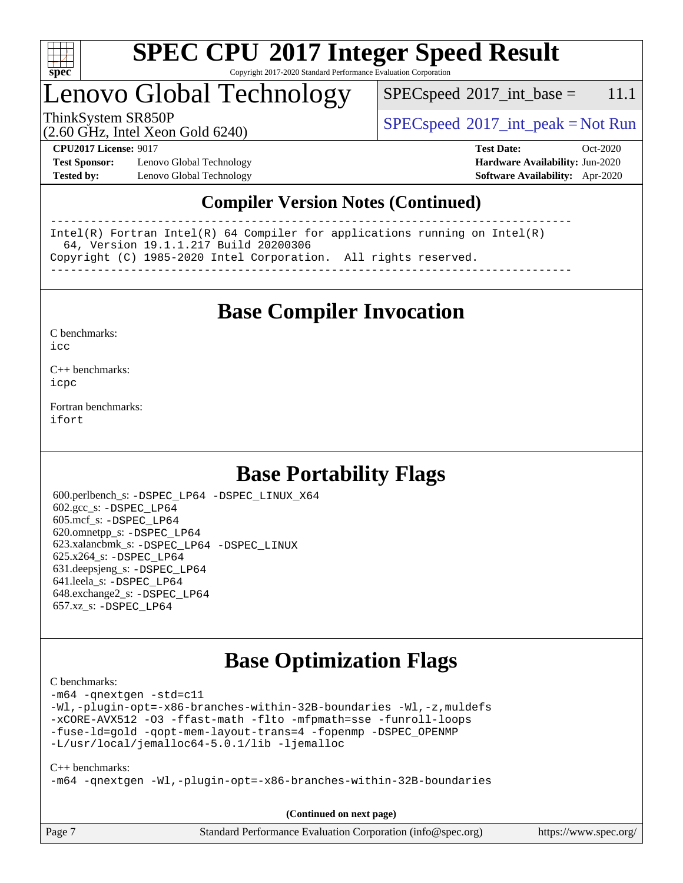

Copyright 2017-2020 Standard Performance Evaluation Corporation

# Lenovo Global Technology

 $SPEC speed^{\circ}2017\_int\_base = 11.1$ 

ThinkSystem SR850P<br>  $\begin{array}{c}\n\text{SPEC speed} \text{°2017\_int\_peak} = \text{Not Run} \\
\text{SPEC speed} \text{°2017\_int\_peak} = \text{Not Run} \\
\end{array}$ 

(2.60 GHz, Intel Xeon Gold 6240)

**[Test Sponsor:](http://www.spec.org/auto/cpu2017/Docs/result-fields.html#TestSponsor)** Lenovo Global Technology **[Hardware Availability:](http://www.spec.org/auto/cpu2017/Docs/result-fields.html#HardwareAvailability)** Jun-2020 **[Tested by:](http://www.spec.org/auto/cpu2017/Docs/result-fields.html#Testedby)** Lenovo Global Technology **[Software Availability:](http://www.spec.org/auto/cpu2017/Docs/result-fields.html#SoftwareAvailability)** Apr-2020

**[CPU2017 License:](http://www.spec.org/auto/cpu2017/Docs/result-fields.html#CPU2017License)** 9017 **[Test Date:](http://www.spec.org/auto/cpu2017/Docs/result-fields.html#TestDate)** Oct-2020

### **[Compiler Version Notes \(Continued\)](http://www.spec.org/auto/cpu2017/Docs/result-fields.html#CompilerVersionNotes)**

------------------------------------------------------------------------------ Intel(R) Fortran Intel(R) 64 Compiler for applications running on Intel(R) 64, Version 19.1.1.217 Build 20200306 Copyright (C) 1985-2020 Intel Corporation. All rights reserved. ------------------------------------------------------------------------------

**[Base Compiler Invocation](http://www.spec.org/auto/cpu2017/Docs/result-fields.html#BaseCompilerInvocation)**

[C benchmarks](http://www.spec.org/auto/cpu2017/Docs/result-fields.html#Cbenchmarks):  $i$ cc

[C++ benchmarks:](http://www.spec.org/auto/cpu2017/Docs/result-fields.html#CXXbenchmarks) [icpc](http://www.spec.org/cpu2017/results/res2020q4/cpu2017-20201109-24360.flags.html#user_CXXbase_intel_icpc_c510b6838c7f56d33e37e94d029a35b4a7bccf4766a728ee175e80a419847e808290a9b78be685c44ab727ea267ec2f070ec5dc83b407c0218cded6866a35d07)

[Fortran benchmarks](http://www.spec.org/auto/cpu2017/Docs/result-fields.html#Fortranbenchmarks): [ifort](http://www.spec.org/cpu2017/results/res2020q4/cpu2017-20201109-24360.flags.html#user_FCbase_intel_ifort_8111460550e3ca792625aed983ce982f94888b8b503583aa7ba2b8303487b4d8a21a13e7191a45c5fd58ff318f48f9492884d4413fa793fd88dd292cad7027ca)

### **[Base Portability Flags](http://www.spec.org/auto/cpu2017/Docs/result-fields.html#BasePortabilityFlags)**

 600.perlbench\_s: [-DSPEC\\_LP64](http://www.spec.org/cpu2017/results/res2020q4/cpu2017-20201109-24360.flags.html#b600.perlbench_s_basePORTABILITY_DSPEC_LP64) [-DSPEC\\_LINUX\\_X64](http://www.spec.org/cpu2017/results/res2020q4/cpu2017-20201109-24360.flags.html#b600.perlbench_s_baseCPORTABILITY_DSPEC_LINUX_X64) 602.gcc\_s: [-DSPEC\\_LP64](http://www.spec.org/cpu2017/results/res2020q4/cpu2017-20201109-24360.flags.html#suite_basePORTABILITY602_gcc_s_DSPEC_LP64) 605.mcf\_s: [-DSPEC\\_LP64](http://www.spec.org/cpu2017/results/res2020q4/cpu2017-20201109-24360.flags.html#suite_basePORTABILITY605_mcf_s_DSPEC_LP64) 620.omnetpp\_s: [-DSPEC\\_LP64](http://www.spec.org/cpu2017/results/res2020q4/cpu2017-20201109-24360.flags.html#suite_basePORTABILITY620_omnetpp_s_DSPEC_LP64) 623.xalancbmk\_s: [-DSPEC\\_LP64](http://www.spec.org/cpu2017/results/res2020q4/cpu2017-20201109-24360.flags.html#suite_basePORTABILITY623_xalancbmk_s_DSPEC_LP64) [-DSPEC\\_LINUX](http://www.spec.org/cpu2017/results/res2020q4/cpu2017-20201109-24360.flags.html#b623.xalancbmk_s_baseCXXPORTABILITY_DSPEC_LINUX) 625.x264\_s: [-DSPEC\\_LP64](http://www.spec.org/cpu2017/results/res2020q4/cpu2017-20201109-24360.flags.html#suite_basePORTABILITY625_x264_s_DSPEC_LP64) 631.deepsjeng\_s: [-DSPEC\\_LP64](http://www.spec.org/cpu2017/results/res2020q4/cpu2017-20201109-24360.flags.html#suite_basePORTABILITY631_deepsjeng_s_DSPEC_LP64) 641.leela\_s: [-DSPEC\\_LP64](http://www.spec.org/cpu2017/results/res2020q4/cpu2017-20201109-24360.flags.html#suite_basePORTABILITY641_leela_s_DSPEC_LP64) 648.exchange2\_s: [-DSPEC\\_LP64](http://www.spec.org/cpu2017/results/res2020q4/cpu2017-20201109-24360.flags.html#suite_basePORTABILITY648_exchange2_s_DSPEC_LP64) 657.xz\_s: [-DSPEC\\_LP64](http://www.spec.org/cpu2017/results/res2020q4/cpu2017-20201109-24360.flags.html#suite_basePORTABILITY657_xz_s_DSPEC_LP64)

### **[Base Optimization Flags](http://www.spec.org/auto/cpu2017/Docs/result-fields.html#BaseOptimizationFlags)**

#### [C benchmarks](http://www.spec.org/auto/cpu2017/Docs/result-fields.html#Cbenchmarks):

[-m64](http://www.spec.org/cpu2017/results/res2020q4/cpu2017-20201109-24360.flags.html#user_CCbase_m64-icc) [-qnextgen](http://www.spec.org/cpu2017/results/res2020q4/cpu2017-20201109-24360.flags.html#user_CCbase_f-qnextgen) [-std=c11](http://www.spec.org/cpu2017/results/res2020q4/cpu2017-20201109-24360.flags.html#user_CCbase_std-icc-std_0e1c27790398a4642dfca32ffe6c27b5796f9c2d2676156f2e42c9c44eaad0c049b1cdb667a270c34d979996257aeb8fc440bfb01818dbc9357bd9d174cb8524) [-Wl,-plugin-opt=-x86-branches-within-32B-boundaries](http://www.spec.org/cpu2017/results/res2020q4/cpu2017-20201109-24360.flags.html#user_CCbase_f-x86-branches-within-32B-boundaries_0098b4e4317ae60947b7b728078a624952a08ac37a3c797dfb4ffeb399e0c61a9dd0f2f44ce917e9361fb9076ccb15e7824594512dd315205382d84209e912f3) [-Wl,-z,muldefs](http://www.spec.org/cpu2017/results/res2020q4/cpu2017-20201109-24360.flags.html#user_CCbase_link_force_multiple1_b4cbdb97b34bdee9ceefcfe54f4c8ea74255f0b02a4b23e853cdb0e18eb4525ac79b5a88067c842dd0ee6996c24547a27a4b99331201badda8798ef8a743f577) [-xCORE-AVX512](http://www.spec.org/cpu2017/results/res2020q4/cpu2017-20201109-24360.flags.html#user_CCbase_f-xCORE-AVX512) [-O3](http://www.spec.org/cpu2017/results/res2020q4/cpu2017-20201109-24360.flags.html#user_CCbase_f-O3) [-ffast-math](http://www.spec.org/cpu2017/results/res2020q4/cpu2017-20201109-24360.flags.html#user_CCbase_f-ffast-math) [-flto](http://www.spec.org/cpu2017/results/res2020q4/cpu2017-20201109-24360.flags.html#user_CCbase_f-flto) [-mfpmath=sse](http://www.spec.org/cpu2017/results/res2020q4/cpu2017-20201109-24360.flags.html#user_CCbase_f-mfpmath_70eb8fac26bde974f8ab713bc9086c5621c0b8d2f6c86f38af0bd7062540daf19db5f3a066d8c6684be05d84c9b6322eb3b5be6619d967835195b93d6c02afa1) [-funroll-loops](http://www.spec.org/cpu2017/results/res2020q4/cpu2017-20201109-24360.flags.html#user_CCbase_f-funroll-loops) [-fuse-ld=gold](http://www.spec.org/cpu2017/results/res2020q4/cpu2017-20201109-24360.flags.html#user_CCbase_f-fuse-ld_920b3586e2b8c6e0748b9c84fa9b744736ba725a32cab14ad8f3d4ad28eecb2f59d1144823d2e17006539a88734fe1fc08fc3035f7676166309105a78aaabc32) [-qopt-mem-layout-trans=4](http://www.spec.org/cpu2017/results/res2020q4/cpu2017-20201109-24360.flags.html#user_CCbase_f-qopt-mem-layout-trans_fa39e755916c150a61361b7846f310bcdf6f04e385ef281cadf3647acec3f0ae266d1a1d22d972a7087a248fd4e6ca390a3634700869573d231a252c784941a8) [-fopenmp](http://www.spec.org/cpu2017/results/res2020q4/cpu2017-20201109-24360.flags.html#user_CCbase_fopenmp_5aa2e47ce4f2ef030ba5d12d5a7a9c4e57167333d78243fcadb80b48d5abb78ff19333f8478e0b2a41e63049eb285965c145ccab7b93db7d0c4d59e4dc6f5591) [-DSPEC\\_OPENMP](http://www.spec.org/cpu2017/results/res2020q4/cpu2017-20201109-24360.flags.html#suite_CCbase_DSPEC_OPENMP) [-L/usr/local/jemalloc64-5.0.1/lib](http://www.spec.org/cpu2017/results/res2020q4/cpu2017-20201109-24360.flags.html#user_CCbase_jemalloc_link_path64_1_cc289568b1a6c0fd3b62c91b824c27fcb5af5e8098e6ad028160d21144ef1b8aef3170d2acf0bee98a8da324cfe4f67d0a3d0c4cc4673d993d694dc2a0df248b) [-ljemalloc](http://www.spec.org/cpu2017/results/res2020q4/cpu2017-20201109-24360.flags.html#user_CCbase_jemalloc_link_lib_d1249b907c500fa1c0672f44f562e3d0f79738ae9e3c4a9c376d49f265a04b9c99b167ecedbf6711b3085be911c67ff61f150a17b3472be731631ba4d0471706)

#### [C++ benchmarks:](http://www.spec.org/auto/cpu2017/Docs/result-fields.html#CXXbenchmarks)

[-m64](http://www.spec.org/cpu2017/results/res2020q4/cpu2017-20201109-24360.flags.html#user_CXXbase_m64-icc) [-qnextgen](http://www.spec.org/cpu2017/results/res2020q4/cpu2017-20201109-24360.flags.html#user_CXXbase_f-qnextgen) [-Wl,-plugin-opt=-x86-branches-within-32B-boundaries](http://www.spec.org/cpu2017/results/res2020q4/cpu2017-20201109-24360.flags.html#user_CXXbase_f-x86-branches-within-32B-boundaries_0098b4e4317ae60947b7b728078a624952a08ac37a3c797dfb4ffeb399e0c61a9dd0f2f44ce917e9361fb9076ccb15e7824594512dd315205382d84209e912f3)

Page 7 Standard Performance Evaluation Corporation [\(info@spec.org\)](mailto:info@spec.org) <https://www.spec.org/> **(Continued on next page)**